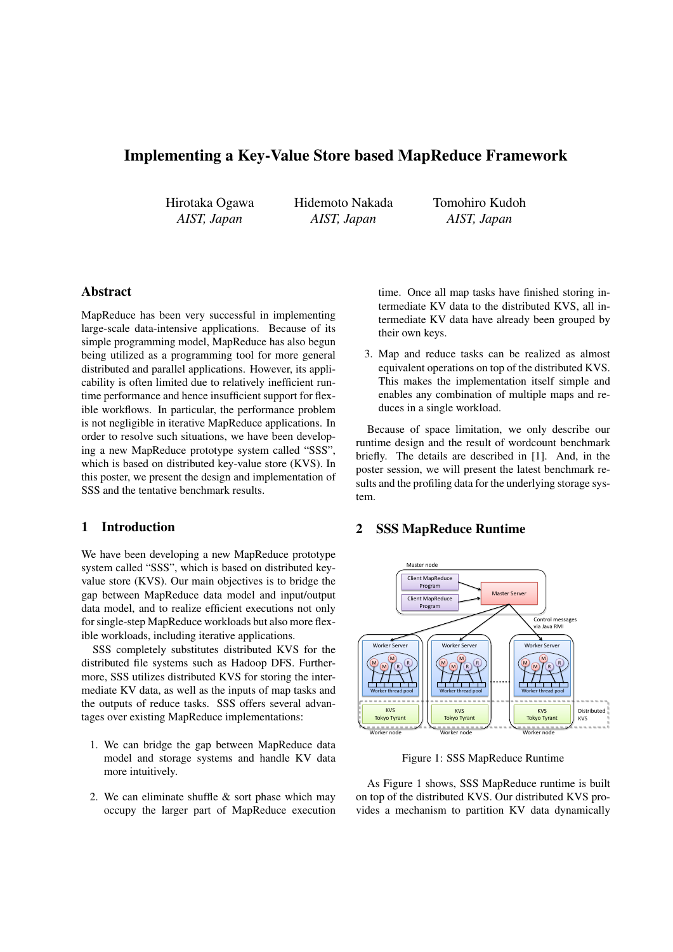# Implementing a Key-Value Store based MapReduce Framework

Hirotaka Ogawa *AIST, Japan*

Hidemoto Nakada *AIST, Japan*

Tomohiro Kudoh *AIST, Japan*

## Abstract

MapReduce has been very successful in implementing large-scale data-intensive applications. Because of its simple programming model, MapReduce has also begun being utilized as a programming tool for more general distributed and parallel applications. However, its applicability is often limited due to relatively inefficient runtime performance and hence insufficient support for flexible workflows. In particular, the performance problem is not negligible in iterative MapReduce applications. In order to resolve such situations, we have been developing a new MapReduce prototype system called "SSS", which is based on distributed key-value store (KVS). In this poster, we present the design and implementation of SSS and the tentative benchmark results.

#### 1 Introduction

We have been developing a new MapReduce prototype system called "SSS", which is based on distributed keyvalue store (KVS). Our main objectives is to bridge the gap between MapReduce data model and input/output data model, and to realize efficient executions not only for single-step MapReduce workloads but also more flexible workloads, including iterative applications.

SSS completely substitutes distributed KVS for the distributed file systems such as Hadoop DFS. Furthermore, SSS utilizes distributed KVS for storing the intermediate KV data, as well as the inputs of map tasks and the outputs of reduce tasks. SSS offers several advantages over existing MapReduce implementations:

- 1. We can bridge the gap between MapReduce data model and storage systems and handle KV data more intuitively.
- 2. We can eliminate shuffle & sort phase which may occupy the larger part of MapReduce execution

time. Once all map tasks have finished storing intermediate KV data to the distributed KVS, all intermediate KV data have already been grouped by their own keys.

3. Map and reduce tasks can be realized as almost equivalent operations on top of the distributed KVS. This makes the implementation itself simple and enables any combination of multiple maps and reduces in a single workload.

Because of space limitation, we only describe our runtime design and the result of wordcount benchmark briefly. The details are described in [1]. And, in the poster session, we will present the latest benchmark results and the profiling data for the underlying storage system.

#### 2 SSS MapReduce Runtime



Figure 1: SSS MapReduce Runtime

As Figure 1 shows, SSS MapReduce runtime is built on top of the distributed KVS. Our distributed KVS provides a mechanism to partition KV data dynamically